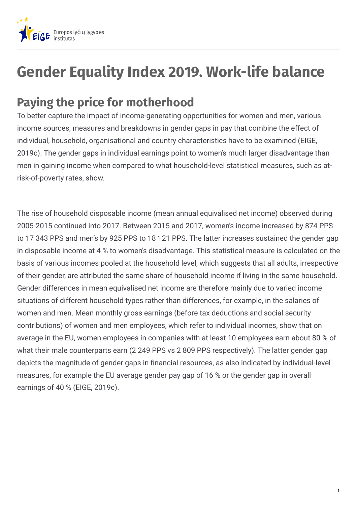

## **Gender Equality Index 2019. Work-life balance**

## **Paying the price for motherhood**

To better capture the impact of income-generating opportunities for women and men, various income sources, measures and breakdowns in gender gaps in pay that combine the effect of individual, household, organisational and country characteristics have to be examined (EIGE, 2019c). The gender gaps in individual earnings point to women's much larger disadvantage than men in gaining income when compared to what household-level statistical measures, such as atrisk-of-poverty rates, show.

The rise of household disposable income (mean annual equivalised net income) observed during 2005-2015 continued into 2017. Between 2015 and 2017, women's income increased by 874 PPS to 17 343 PPS and men's by 925 PPS to 18 121 PPS. The latter increases sustained the gender gap in disposable income at 4 % to women's disadvantage. This statistical measure is calculated on the basis of various incomes pooled at the household level, which suggests that all adults, irrespective of their gender, are attributed the same share of household income if living in the same household. Gender differences in mean equivalised net income are therefore mainly due to varied income situations of different household types rather than differences, for example, in the salaries of women and men. Mean monthly gross earnings (before tax deductions and social security contributions) of women and men employees, which refer to individual incomes, show that on average in the EU, women employees in companies with at least 10 employees earn about 80 % of what their male counterparts earn (2 249 PPS vs 2 809 PPS respectively). The latter gender gap depicts the magnitude of gender gaps in financial resources, as also indicated by individual-level measures, for example the EU average gender pay gap of 16 % or the gender gap in overall earnings of 40 % (EIGE, 2019c).